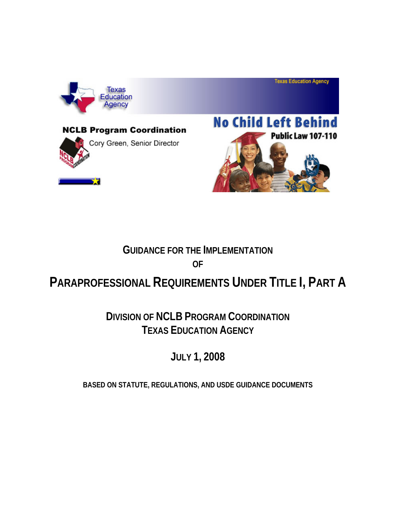





**Texas Education Agency** 

# **GUIDANCE FOR THE IMPLEMENTATION OF**

# **PARAPROFESSIONAL REQUIREMENTS UNDER TITLE I, PART A**

# **DIVISION OF NCLB PROGRAM COORDINATION TEXAS EDUCATION AGENCY**

**JULY 1, 2008** 

**BASED ON STATUTE, REGULATIONS, AND USDE GUIDANCE DOCUMENTS**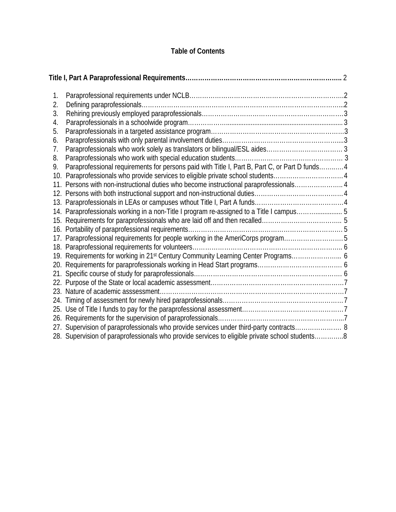# **Table of Contents**

| 1. |                                                                                                |  |
|----|------------------------------------------------------------------------------------------------|--|
| 2. |                                                                                                |  |
| 3. |                                                                                                |  |
| 4. |                                                                                                |  |
| 5. |                                                                                                |  |
| 6. |                                                                                                |  |
| 7. |                                                                                                |  |
| 8. |                                                                                                |  |
| 9. | Paraprofessional requirements for persons paid with Title I, Part B, Part C, or Part D funds 4 |  |
|    | 10. Paraprofessionals who provide services to eligible private school students4                |  |
|    | 11. Persons with non-instructional duties who become instructional paraprofessionals 4         |  |
|    |                                                                                                |  |
|    |                                                                                                |  |
|    | 14. Paraprofessionals working in a non-Title I program re-assigned to a Title I campus 5       |  |
|    |                                                                                                |  |
|    |                                                                                                |  |
|    | 17. Paraprofessional requirements for people working in the AmeriCorps program5                |  |
|    |                                                                                                |  |
|    |                                                                                                |  |
|    |                                                                                                |  |
|    |                                                                                                |  |
|    |                                                                                                |  |
|    |                                                                                                |  |
|    |                                                                                                |  |
|    |                                                                                                |  |
|    |                                                                                                |  |
|    | 27. Supervision of paraprofessionals who provide services under third-party contracts 8        |  |
|    | 28. Supervision of paraprofessionals who provide services to eligible private school students8 |  |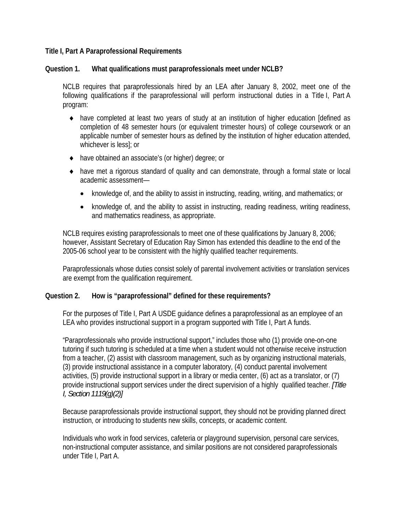#### <span id="page-2-0"></span>**Title I, Part A Paraprofessional Requirements**

#### **Question 1. What qualifications must paraprofessionals meet under NCLB?**

NCLB requires that paraprofessionals hired by an LEA after January 8, 2002, meet one of the following qualifications if the paraprofessional will perform instructional duties in a Title I, Part A program:

- ♦ have completed at least two years of study at an institution of higher education [defined as completion of 48 semester hours (or equivalent trimester hours) of college coursework or an applicable number of semester hours as defined by the institution of higher education attended, whichever is less]; or
- ♦ have obtained an associate's (or higher) degree; or
- ♦ have met a rigorous standard of quality and can demonstrate, through a formal state or local academic assessment—
	- knowledge of, and the ability to assist in instructing, reading, writing, and mathematics; or
	- knowledge of, and the ability to assist in instructing, reading readiness, writing readiness, and mathematics readiness, as appropriate.

NCLB requires existing paraprofessionals to meet one of these qualifications by January 8, 2006; however, Assistant Secretary of Education Ray Simon has extended this deadline to the end of the 2005-06 school year to be consistent with the highly qualified teacher requirements.

Paraprofessionals whose duties consist solely of parental involvement activities or translation services are exempt from the qualification requirement.

#### **Question 2. How is "paraprofessional" defined for these requirements?**

For the purposes of Title I, Part A USDE guidance defines a paraprofessional as an employee of an LEA who provides instructional support in a program supported with Title I, Part A funds.

"Paraprofessionals who provide instructional support," includes those who (1) provide one-on-one tutoring if such tutoring is scheduled at a time when a student would not otherwise receive instruction from a teacher, (2) assist with classroom management, such as by organizing instructional materials, (3) provide instructional assistance in a computer laboratory, (4) conduct parental involvement activities, (5) provide instructional support in a library or media center, (6) act as a translator, or (7) provide instructional support services under the direct supervision of a highly qualified teacher. *[Title I, Section 1119(g)(2)]*

Because paraprofessionals provide instructional support, they should not be providing planned direct instruction, or introducing to students new skills, concepts, or academic content.

Individuals who work in food services, cafeteria or playground supervision, personal care services, non-instructional computer assistance, and similar positions are not considered paraprofessionals under Title I, Part A.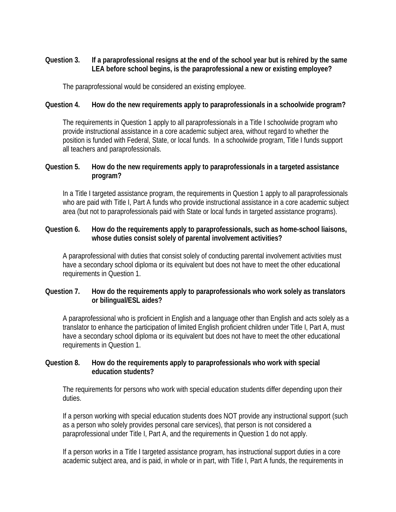# <span id="page-3-0"></span>**Question 3. If a paraprofessional resigns at the end of the school year but is rehired by the same LEA before school begins, is the paraprofessional a new or existing employee?**

The paraprofessional would be considered an existing employee.

# **Question 4. How do the new requirements apply to paraprofessionals in a schoolwide program?**

The requirements in Question 1 apply to all paraprofessionals in a Title I schoolwide program who provide instructional assistance in a core academic subject area, without regard to whether the position is funded with Federal, State, or local funds. In a schoolwide program, Title I funds support all teachers and paraprofessionals.

# **Question 5. How do the new requirements apply to paraprofessionals in a targeted assistance program?**

In a Title I targeted assistance program, the requirements in Question 1 apply to all paraprofessionals who are paid with Title I, Part A funds who provide instructional assistance in a core academic subject area (but not to paraprofessionals paid with State or local funds in targeted assistance programs).

# **Question 6. How do the requirements apply to paraprofessionals, such as home-school liaisons, whose duties consist solely of parental involvement activities?**

A paraprofessional with duties that consist solely of conducting parental involvement activities must have a secondary school diploma or its equivalent but does not have to meet the other educational requirements in Question 1.

# **Question 7. How do the requirements apply to paraprofessionals who work solely as translators or bilingual/ESL aides?**

A paraprofessional who is proficient in English and a language other than English and acts solely as a translator to enhance the participation of limited English proficient children under Title I, Part A, must have a secondary school diploma or its equivalent but does not have to meet the other educational requirements in Question 1.

# **Question 8. How do the requirements apply to paraprofessionals who work with special education students?**

The requirements for persons who work with special education students differ depending upon their duties.

If a person working with special education students does NOT provide any instructional support (such as a person who solely provides personal care services), that person is not considered a paraprofessional under Title I, Part A, and the requirements in Question 1 do not apply.

If a person works in a Title I targeted assistance program, has instructional support duties in a core academic subject area, and is paid, in whole or in part, with Title I, Part A funds, the requirements in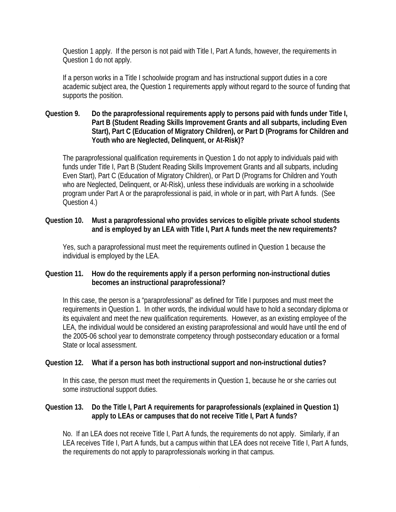<span id="page-4-0"></span>Question 1 apply. If the person is not paid with Title I, Part A funds, however, the requirements in Question 1 do not apply.

If a person works in a Title I schoolwide program and has instructional support duties in a core academic subject area, the Question 1 requirements apply without regard to the source of funding that supports the position.

# **Question 9. Do the paraprofessional requirements apply to persons paid with funds under Title I, Part B (Student Reading Skills Improvement Grants and all subparts, including Even Start), Part C (Education of Migratory Children), or Part D (Programs for Children and Youth who are Neglected, Delinquent, or At-Risk)?**

The paraprofessional qualification requirements in Question 1 do not apply to individuals paid with funds under Title I, Part B (Student Reading Skills Improvement Grants and all subparts, including Even Start), Part C (Education of Migratory Children), or Part D (Programs for Children and Youth who are Neglected, Delinquent, or At-Risk), unless these individuals are working in a schoolwide program under Part A or the paraprofessional is paid, in whole or in part, with Part A funds. (See Question 4.)

# **Question 10. Must a paraprofessional who provides services to eligible private school students and is employed by an LEA with Title I, Part A funds meet the new requirements?**

Yes, such a paraprofessional must meet the requirements outlined in Question 1 because the individual is employed by the LEA.

# **Question 11. How do the requirements apply if a person performing non-instructional duties becomes an instructional paraprofessional?**

In this case, the person is a "paraprofessional" as defined for Title I purposes and must meet the requirements in Question 1. In other words, the individual would have to hold a secondary diploma or its equivalent and meet the new qualification requirements. However, as an existing employee of the LEA, the individual would be considered an existing paraprofessional and would have until the end of the 2005-06 school year to demonstrate competency through postsecondary education or a formal State or local assessment.

# **Question 12. What if a person has both instructional support and non-instructional duties?**

In this case, the person must meet the requirements in Question 1, because he or she carries out some instructional support duties.

# **Question 13. Do the Title I, Part A requirements for paraprofessionals (explained in Question 1) apply to LEAs or campuses that do not receive Title I, Part A funds?**

No. If an LEA does not receive Title I, Part A funds, the requirements do not apply. Similarly, if an LEA receives Title I, Part A funds, but a campus within that LEA does not receive Title I, Part A funds, the requirements do not apply to paraprofessionals working in that campus.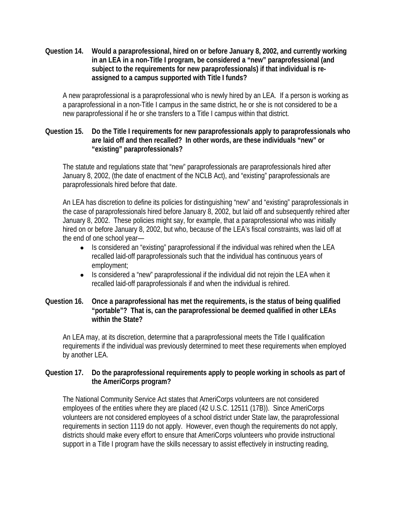<span id="page-5-0"></span>**Question 14. Would a paraprofessional, hired on or before January 8, 2002, and currently working in an LEA in a non-Title I program, be considered a "new" paraprofessional (and subject to the requirements for new paraprofessionals) if that individual is reassigned to a campus supported with Title I funds?** 

A new paraprofessional is a paraprofessional who is newly hired by an LEA. If a person is working as a paraprofessional in a non-Title I campus in the same district, he or she is not considered to be a new paraprofessional if he or she transfers to a Title I campus within that district.

# **Question 15. Do the Title I requirements for new paraprofessionals apply to paraprofessionals who are laid off and then recalled? In other words, are these individuals "new" or "existing" paraprofessionals?**

The statute and regulations state that "new" paraprofessionals are paraprofessionals hired after January 8, 2002, (the date of enactment of the NCLB Act), and "existing" paraprofessionals are paraprofessionals hired before that date.

An LEA has discretion to define its policies for distinguishing "new" and "existing" paraprofessionals in the case of paraprofessionals hired before January 8, 2002, but laid off and subsequently rehired after January 8, 2002. These policies might say, for example, that a paraprofessional who was initially hired on or before January 8, 2002, but who, because of the LEA's fiscal constraints, was laid off at the end of one school year—

- Is considered an "existing" paraprofessional if the individual was rehired when the LEA recalled laid-off paraprofessionals such that the individual has continuous years of employment;
- Is considered a "new" paraprofessional if the individual did not reioin the LEA when it recalled laid-off paraprofessionals if and when the individual is rehired.

# **Question 16. Once a paraprofessional has met the requirements, is the status of being qualified "portable"? That is, can the paraprofessional be deemed qualified in other LEAs within the State?**

An LEA may, at its discretion, determine that a paraprofessional meets the Title I qualification requirements if the individual was previously determined to meet these requirements when employed by another LEA.

# **Question 17. Do the paraprofessional requirements apply to people working in schools as part of the AmeriCorps program?**

The National Community Service Act states that AmeriCorps volunteers are not considered employees of the entities where they are placed (42 U.S.C. 12511 (17B)). Since AmeriCorps volunteers are not considered employees of a school district under State law, the paraprofessional requirements in section 1119 do not apply. However, even though the requirements do not apply, districts should make every effort to ensure that AmeriCorps volunteers who provide instructional support in a Title I program have the skills necessary to assist effectively in instructing reading,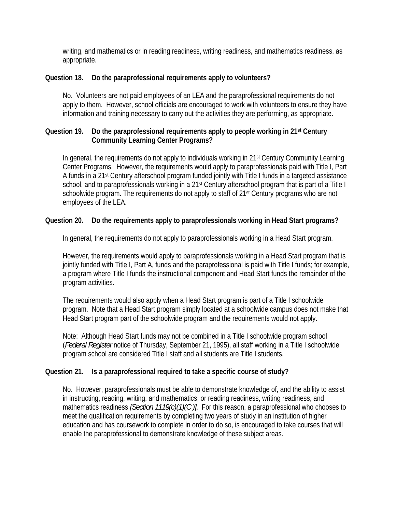<span id="page-6-0"></span>writing, and mathematics or in reading readiness, writing readiness, and mathematics readiness, as appropriate.

#### **Question 18. Do the paraprofessional requirements apply to volunteers?**

No. Volunteers are not paid employees of an LEA and the paraprofessional requirements do not apply to them. However, school officials are encouraged to work with volunteers to ensure they have information and training necessary to carry out the activities they are performing, as appropriate.

# **Question 19. Do the paraprofessional requirements apply to people working in 21st Century Community Learning Center Programs?**

In general, the requirements do not apply to individuals working in 21<sup>st</sup> Century Community Learning Center Programs. However, the requirements would apply to paraprofessionals paid with Title I, Part A funds in a 21st Century afterschool program funded jointly with Title I funds in a targeted assistance school, and to paraprofessionals working in a 21<sup>st</sup> Century afterschool program that is part of a Title I schoolwide program. The requirements do not apply to staff of 21<sup>st</sup> Century programs who are not employees of the LEA.

# **Question 20. Do the requirements apply to paraprofessionals working in Head Start programs?**

In general, the requirements do not apply to paraprofessionals working in a Head Start program.

However, the requirements would apply to paraprofessionals working in a Head Start program that is jointly funded with Title I, Part A, funds and the paraprofessional is paid with Title I funds; for example, a program where Title I funds the instructional component and Head Start funds the remainder of the program activities.

The requirements would also apply when a Head Start program is part of a Title I schoolwide program. Note that a Head Start program simply located at a schoolwide campus does not make that Head Start program part of the schoolwide program and the requirements would not apply.

Note: Although Head Start funds may not be combined in a Title I schoolwide program school (*Federal Register* notice of Thursday, September 21, 1995), all staff working in a Title I schoolwide program school are considered Title I staff and all students are Title I students.

# **Question 21. Is a paraprofessional required to take a specific course of study?**

No. However, paraprofessionals must be able to demonstrate knowledge of, and the ability to assist in instructing, reading, writing, and mathematics, or reading readiness, writing readiness, and mathematics readiness *[Section 1119(c)(1)(C )].* For this reason, a paraprofessional who chooses to meet the qualification requirements by completing two years of study in an institution of higher education and has coursework to complete in order to do so, is encouraged to take courses that will enable the paraprofessional to demonstrate knowledge of these subject areas.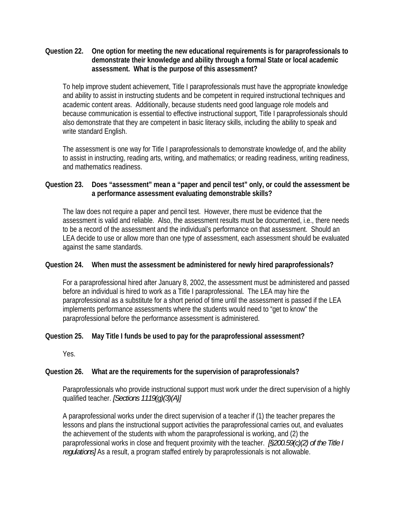#### <span id="page-7-0"></span>**Question 22. One option for meeting the new educational requirements is for paraprofessionals to demonstrate their knowledge and ability through a formal State or local academic assessment. What is the purpose of this assessment?**

To help improve student achievement, Title I paraprofessionals must have the appropriate knowledge and ability to assist in instructing students and be competent in required instructional techniques and academic content areas. Additionally, because students need good language role models and because communication is essential to effective instructional support, Title I paraprofessionals should also demonstrate that they are competent in basic literacy skills, including the ability to speak and write standard English.

The assessment is one way for Title I paraprofessionals to demonstrate knowledge of, and the ability to assist in instructing, reading arts, writing, and mathematics; or reading readiness, writing readiness, and mathematics readiness.

# **Question 23. Does "assessment" mean a "paper and pencil test" only, or could the assessment be a performance assessment evaluating demonstrable skills?**

The law does not require a paper and pencil test. However, there must be evidence that the assessment is valid and reliable. Also, the assessment results must be documented, i.e., there needs to be a record of the assessment and the individual's performance on that assessment. Should an LEA decide to use or allow more than one type of assessment, each assessment should be evaluated against the same standards.

# **Question 24. When must the assessment be administered for newly hired paraprofessionals?**

For a paraprofessional hired after January 8, 2002, the assessment must be administered and passed before an individual is hired to work as a Title I paraprofessional*.* The LEA may hire the paraprofessional as a substitute for a short period of time until the assessment is passed if the LEA implements performance assessments where the students would need to "get to know" the paraprofessional before the performance assessment is administered.

# **Question 25. May Title I funds be used to pay for the paraprofessional assessment?**

Yes.

# **Question 26. What are the requirements for the supervision of paraprofessionals?**

Paraprofessionals who provide instructional support must work under the direct supervision of a highly qualified teacher. *[Sections 1119(g)(3)(A)]*

A paraprofessional works under the direct supervision of a teacher if (1) the teacher prepares the lessons and plans the instructional support activities the paraprofessional carries out, and evaluates the achievement of the students with whom the paraprofessional is working, and (2) the paraprofessional works in close and frequent proximity with the teacher. *[§200.59(c)(2) of the Title I regulations]* As a result, a program staffed entirely by paraprofessionals is not allowable.